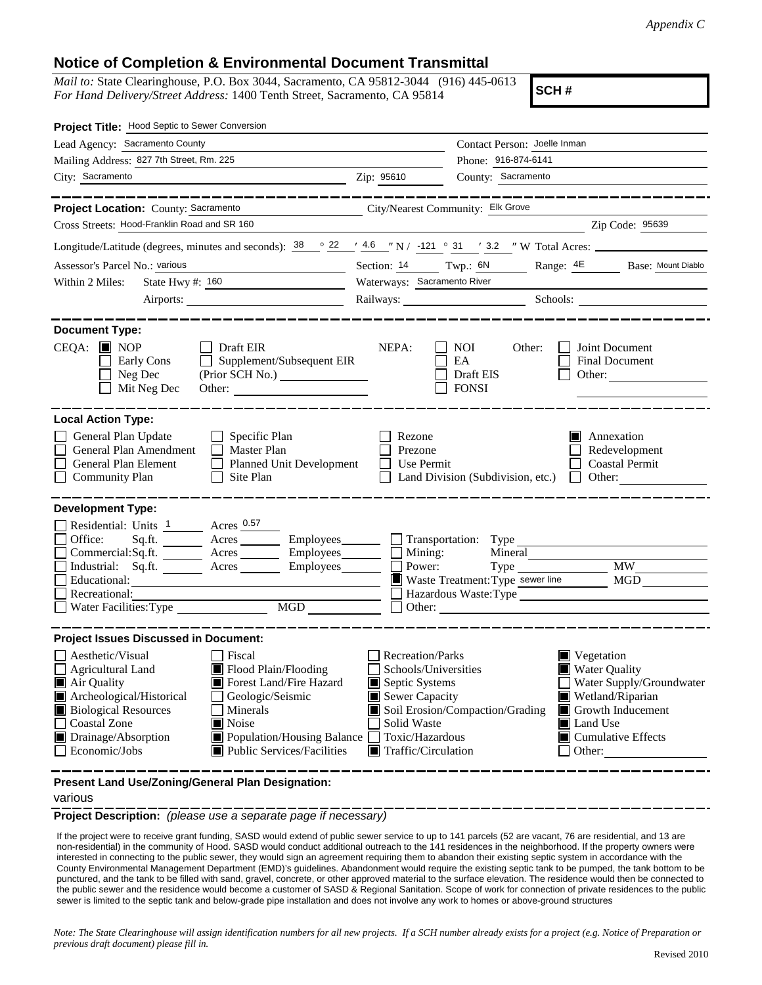## **Notice of Completion & Environmental Document Transmittal**

*Mail to:* State Clearinghouse, P.O. Box 3044, Sacramento, CA 95812-3044 (916) 445-0613 *For Hand Delivery/Street Address:* 1400 Tenth Street, Sacramento, CA 95814

**SCH #**

| Project Title: Hood Septic to Sewer Conversion                                                                                                                                                                                                                                                                                                                                                                                                      |                                                                                                                                                                                                |                                                                                                                                                     |
|-----------------------------------------------------------------------------------------------------------------------------------------------------------------------------------------------------------------------------------------------------------------------------------------------------------------------------------------------------------------------------------------------------------------------------------------------------|------------------------------------------------------------------------------------------------------------------------------------------------------------------------------------------------|-----------------------------------------------------------------------------------------------------------------------------------------------------|
| Lead Agency: Sacramento County                                                                                                                                                                                                                                                                                                                                                                                                                      | Contact Person: Joelle Inman                                                                                                                                                                   |                                                                                                                                                     |
| Mailing Address: 827 7th Street, Rm. 225                                                                                                                                                                                                                                                                                                                                                                                                            | Phone: 916-874-6141                                                                                                                                                                            |                                                                                                                                                     |
| City: Sacramento                                                                                                                                                                                                                                                                                                                                                                                                                                    | County: Sacramento<br>Zip: 95610                                                                                                                                                               |                                                                                                                                                     |
| Project Location: County: Sacramento                                                                                                                                                                                                                                                                                                                                                                                                                | City/Nearest Community: Elk Grove                                                                                                                                                              |                                                                                                                                                     |
| Cross Streets: Hood-Franklin Road and SR 160                                                                                                                                                                                                                                                                                                                                                                                                        |                                                                                                                                                                                                | Zip Code: 95639                                                                                                                                     |
| Longitude/Latitude (degrees, minutes and seconds): $38 \degree$ $22 \degree$ $/4.6 \degree$ N $/$ -121 $\degree$ 31 $\degree$ 32 $\degree$ W Total Acres:                                                                                                                                                                                                                                                                                           |                                                                                                                                                                                                |                                                                                                                                                     |
| Assessor's Parcel No.: various<br><u> 1989 - Johann Barbara, martxa a</u>                                                                                                                                                                                                                                                                                                                                                                           | Section: 14 Twp.: 6N                                                                                                                                                                           | Range: 4E Base: Mount Diablo                                                                                                                        |
| State Hwy #: 160<br>Within 2 Miles:                                                                                                                                                                                                                                                                                                                                                                                                                 | Waterways: Sacramento River                                                                                                                                                                    |                                                                                                                                                     |
|                                                                                                                                                                                                                                                                                                                                                                                                                                                     |                                                                                                                                                                                                | Railways: Schools:                                                                                                                                  |
| <b>Document Type:</b><br>$CEQA: \blacksquare$ NOP<br>$\Box$ Draft EIR<br>Supplement/Subsequent EIR<br>Early Cons<br>Neg Dec<br>Mit Neg Dec                                                                                                                                                                                                                                                                                                          | NEPA:<br>NOI<br>Other:<br>EA<br>Draft EIS<br><b>FONSI</b>                                                                                                                                      | Joint Document<br>Final Document<br>Other: $\qquad \qquad$                                                                                          |
| <b>Local Action Type:</b><br>General Plan Update<br>$\Box$ Specific Plan<br>General Plan Amendment<br>$\Box$ Master Plan<br>General Plan Element<br>Planned Unit Development<br><b>Community Plan</b><br>Site Plan<br>$\perp$                                                                                                                                                                                                                       | Rezone<br>Prezone<br>Use Permit<br>$\mathbf{I}$<br>Land Division (Subdivision, etc.)                                                                                                           | Annexation<br>Redevelopment<br><b>Coastal Permit</b><br>Other: $\qquad \qquad$<br>$\mathbf{L}$                                                      |
| <b>Development Type:</b><br>Residential: Units 1 Acres 0.57<br>Office:<br>Sq.ft. ________ Acres _________ Employees _______ __ Transportation: Type<br>Commercial:Sq.ft. _______ Acres ________ Employees _______ □ Mining:<br>Industrial: Sq.ft. _______ Acres ________ Employees _______ $\Box$<br>Educational:<br>Recreational:<br>MGD<br>Water Facilities: Type                                                                                 | Power:<br>Waste Treatment: Type sewer line                                                                                                                                                     | Mineral<br><b>MW</b><br><b>MGD</b><br>Hazardous Waste:Type                                                                                          |
| <b>Project Issues Discussed in Document:</b><br>Aesthetic/Visual<br>Fiscal<br>Flood Plain/Flooding<br><b>Agricultural Land</b><br>Air Quality<br>Forest Land/Fire Hazard<br>Archeological/Historical<br>Geologic/Seismic<br><b>Biological Resources</b><br>Minerals<br><b>Coastal Zone</b><br>$\blacksquare$ Noise<br>Drainage/Absorption<br>$\Box$ Population/Housing Balance $\Box$<br>Economic/Jobs<br>$\blacksquare$ Public Services/Facilities | <b>Recreation/Parks</b><br>Schools/Universities<br>Septic Systems<br>Sewer Capacity<br>Soil Erosion/Compaction/Grading<br>Solid Waste<br>Toxic/Hazardous<br>$\blacksquare$ Traffic/Circulation | Vegetation<br>Water Quality<br>Water Supply/Groundwater<br>Wetland/Riparian<br>Growth Inducement<br>Land Use<br>$\Box$ Cumulative Effects<br>Other: |
| Present Land Use/Zoning/General Plan Designation:                                                                                                                                                                                                                                                                                                                                                                                                   |                                                                                                                                                                                                |                                                                                                                                                     |

various

**Project Description:** *(please use a separate page if necessary)*

 If the project were to receive grant funding, SASD would extend of public sewer service to up to 141 parcels (52 are vacant, 76 are residential, and 13 are non-residential) in the community of Hood. SASD would conduct additional outreach to the 141 residences in the neighborhood. If the property owners were interested in connecting to the public sewer, they would sign an agreement requiring them to abandon their existing septic system in accordance with the County Environmental Management Department (EMD)'s guidelines. Abandonment would require the existing septic tank to be pumped, the tank bottom to be punctured, and the tank to be filled with sand, gravel, concrete, or other approved material to the surface elevation. The residence would then be connected to the public sewer and the residence would become a customer of SASD & Regional Sanitation. Scope of work for connection of private residences to the public sewer is limited to the septic tank and below-grade pipe installation and does not involve any work to homes or above-ground structures

*Note: The State Clearinghouse will assign identification numbers for all new projects. If a SCH number already exists for a project (e.g. Notice of Preparation or previous draft document) please fill in.*